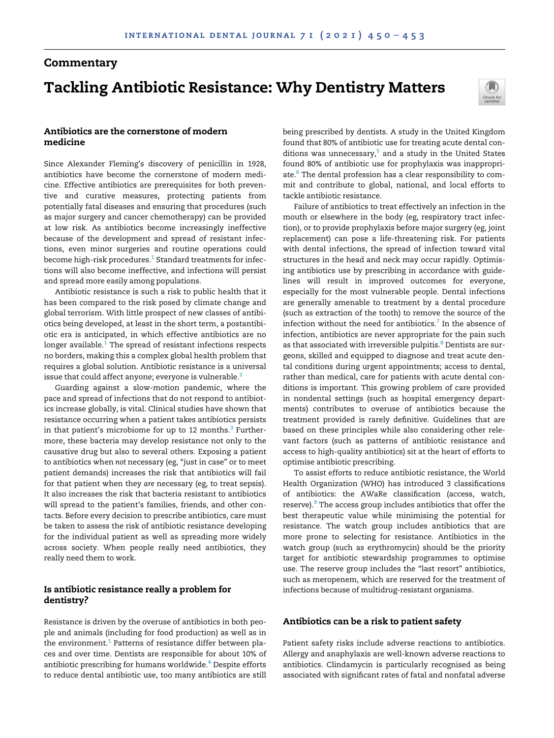# **Commentary** Tackling Antibiotic Resistance: Why Dentistry Matters



# Antibiotics are the cornerstone of modern medicine

Since Alexander Fleming's discovery of penicillin in 1928, antibiotics have become the cornerstone of modern medicine. Effective antibiotics are prerequisites for both preventive and curative measures, protecting patients from potentially fatal diseases and ensuring that procedures (such as major surgery and cancer chemotherapy) can be provided at low risk. As antibiotics become increasingly ineffective because of the development and spread of resistant infections, even minor surgeries and routine operations could become high-risk procedures.<sup>[1](#page-3-0)</sup> Standard treatments for infections will also become ineffective, and infections will persist and spread more easily among populations.

Antibiotic resistance is such a risk to public health that it has been compared to the risk posed by climate change and global terrorism. With little prospect of new classes of antibiotics being developed, at least in the short term, a postantibiotic era is anticipated, in which effective antibiotics are no longer available. $1$  The spread of resistant infections respects no borders, making this a complex global health problem that requires a global solution. Antibiotic resistance is a universal issue that could affect anyone; everyone is vulnerable.<sup>[2](#page-3-1)</sup>

Guarding against a slow-motion pandemic, where the pace and spread of infections that do not respond to antibiotics increase globally, is vital. Clinical studies have shown that resistance occurring when a patient takes antibiotics persists in that patient's microbiome for up to 12 months. $3$  Furthermore, these bacteria may develop resistance not only to the causative drug but also to several others. Exposing a patient to antibiotics when not necessary (eg, "just in case" or to meet patient demands) increases the risk that antibiotics will fail for that patient when they are necessary (eg, to treat sepsis). It also increases the risk that bacteria resistant to antibiotics will spread to the patient's families, friends, and other contacts. Before every decision to prescribe antibiotics, care must be taken to assess the risk of antibiotic resistance developing for the individual patient as well as spreading more widely across society. When people really need antibiotics, they really need them to work.

# Is antibiotic resistance really a problem for dentistry?

Resistance is driven by the overuse of antibiotics in both people and animals (including for food production) as well as in the environment.<sup>[1](#page-3-0)</sup> Patterns of resistance differ between places and over time. Dentists are responsible for about 10% of antibiotic prescribing for humans worldwide.<sup>[4](#page-3-3)</sup> Despite efforts to reduce dental antibiotic use, too many antibiotics are still

being prescribed by dentists. A study in the United Kingdom found that 80% of antibiotic use for treating acute dental conditions was unnecessary, $5$  and a study in the United States found 80% of antibiotic use for prophylaxis was inappropri-ate.<sup>[6](#page-3-5)</sup> The dental profession has a clear responsibility to commit and contribute to global, national, and local efforts to tackle antibiotic resistance.

Failure of antibiotics to treat effectively an infection in the mouth or elsewhere in the body (eg, respiratory tract infection), or to provide prophylaxis before major surgery (eg, joint replacement) can pose a life-threatening risk. For patients with dental infections, the spread of infection toward vital structures in the head and neck may occur rapidly. Optimising antibiotics use by prescribing in accordance with guidelines will result in improved outcomes for everyone, especially for the most vulnerable people. Dental infections are generally amenable to treatment by a dental procedure (such as extraction of the tooth) to remove the source of the infection without the need for antibiotics. $^7$  $^7$  In the absence of infection, antibiotics are never appropriate for the pain such as that associated with irreversible pulpitis.<sup>[8](#page-3-7)</sup> Dentists are surgeons, skilled and equipped to diagnose and treat acute dental conditions during urgent appointments; access to dental, rather than medical, care for patients with acute dental conditions is important. This growing problem of care provided in nondental settings (such as hospital emergency departments) contributes to overuse of antibiotics because the treatment provided is rarely definitive. Guidelines that are based on these principles while also considering other relevant factors (such as patterns of antibiotic resistance and access to high-quality antibiotics) sit at the heart of efforts to optimise antibiotic prescribing.

To assist efforts to reduce antibiotic resistance, the World Health Organization (WHO) has introduced 3 classifications of antibiotics: the AWaRe classification (access, watch, reserve).<sup>[9](#page-3-8)</sup> The access group includes antibiotics that offer the best therapeutic value while minimising the potential for resistance. The watch group includes antibiotics that are more prone to selecting for resistance. Antibiotics in the watch group (such as erythromycin) should be the priority target for antibiotic stewardship programmes to optimise use. The reserve group includes the "last resort" antibiotics, such as meropenem, which are reserved for the treatment of infections because of multidrug-resistant organisms.

## Antibiotics can be a risk to patient safety

Patient safety risks include adverse reactions to antibiotics. Allergy and anaphylaxis are well-known adverse reactions to antibiotics. Clindamycin is particularly recognised as being associated with significant rates of fatal and nonfatal adverse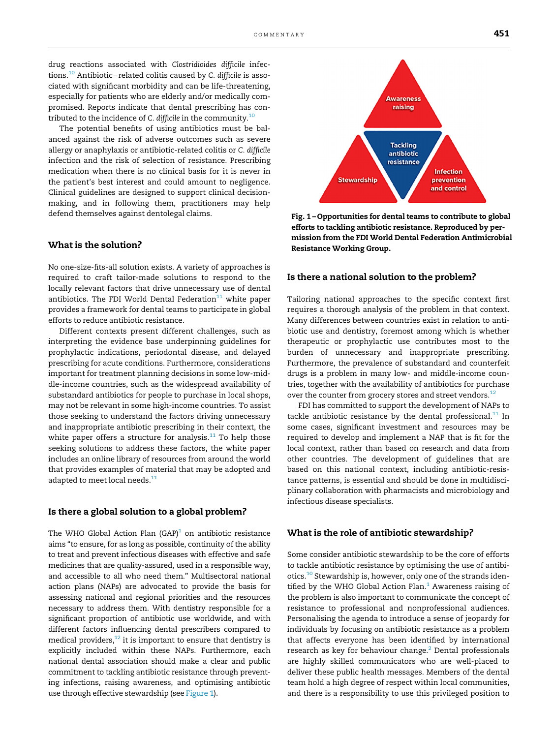<span id="page-1-0"></span>drug reactions associated with Clostridioides difficile infec-tions.<sup>[10](#page-3-9)</sup> Antibiotic-related colitis caused by C. difficile is associated with significant morbidity and can be life-threatening, especially for patients who are elderly and/or medically compromised. Reports indicate that dental prescribing has con-tributed to the incidence of C. difficile in the community.<sup>[10](#page-3-9)</sup>

The potential benefits of using antibiotics must be balanced against the risk of adverse outcomes such as severe allergy or anaphylaxis or antibiotic-related colitis or C. difficile infection and the risk of selection of resistance. Prescribing medication when there is no clinical basis for it is never in the patient's best interest and could amount to negligence. Clinical guidelines are designed to support clinical decisionmaking, and in following them, practitioners may help defend themselves against dentolegal claims.

## What is the solution?

No one-size-fits-all solution exists. A variety of approaches is required to craft tailor-made solutions to respond to the locally relevant factors that drive unnecessary use of dental antibiotics. The FDI World Dental Federation $11$  white paper provides a framework for dental teams to participate in global efforts to reduce antibiotic resistance.

Different contexts present different challenges, such as interpreting the evidence base underpinning guidelines for prophylactic indications, periodontal disease, and delayed prescribing for acute conditions. Furthermore, considerations important for treatment planning decisions in some low-middle-income countries, such as the widespread availability of substandard antibiotics for people to purchase in local shops, may not be relevant in some high-income countries. To assist those seeking to understand the factors driving unnecessary and inappropriate antibiotic prescribing in their context, the white paper offers a structure for analysis.<sup>[11](#page-3-10)</sup> To help those seeking solutions to address these factors, the white paper includes an online library of resources from around the world that provides examples of material that may be adopted and adapted to meet local needs.<sup>[11](#page-3-10)</sup>

#### Is there a global solution to a global problem?

The WHO Global Action Plan  $(GAP)^1$  on antibiotic resistance aims "to ensure, for as long as possible, continuity of the ability to treat and prevent infectious diseases with effective and safe medicines that are quality-assured, used in a responsible way, and accessible to all who need them." Multisectoral national action plans (NAPs) are advocated to provide the basis for assessing national and regional priorities and the resources necessary to address them. With dentistry responsible for a significant proportion of antibiotic use worldwide, and with different factors influencing dental prescribers compared to medical providers, $^{12}$  it is important to ensure that dentistry is explicitly included within these NAPs. Furthermore, each national dental association should make a clear and public commitment to tackling antibiotic resistance through preventing infections, raising awareness, and optimising antibiotic use through effective stewardship (see [Figure 1\)](#page-1-0).



Fig. 1 – Opportunities for dental teams to contribute to global efforts to tackling antibiotic resistance. Reproduced by permission from the FDI World Dental Federation Antimicrobial Resistance Working Group.

#### Is there a national solution to the problem?

Tailoring national approaches to the specific context first requires a thorough analysis of the problem in that context. Many differences between countries exist in relation to antibiotic use and dentistry, foremost among which is whether therapeutic or prophylactic use contributes most to the burden of unnecessary and inappropriate prescribing. Furthermore, the prevalence of substandard and counterfeit drugs is a problem in many low- and middle-income countries, together with the availability of antibiotics for purchase over the counter from grocery stores and street vendors.<sup>[12](#page-3-11)</sup>

FDI has committed to support the development of NAPs to tackle antibiotic resistance by the dental professional. $11$  In some cases, significant investment and resources may be required to develop and implement a NAP that is fit for the local context, rather than based on research and data from other countries. The development of guidelines that are based on this national context, including antibiotic-resistance patterns, is essential and should be done in multidisciplinary collaboration with pharmacists and microbiology and infectious disease specialists.

### What is the role of antibiotic stewardship?

Some consider antibiotic stewardship to be the core of efforts to tackle antibiotic resistance by optimising the use of antibiotics.[10](#page-3-9) Stewardship is, however, only one of the strands identified by the WHO Global Action Plan. $<sup>1</sup>$  $<sup>1</sup>$  $<sup>1</sup>$  Awareness raising of</sup> the problem is also important to communicate the concept of resistance to professional and nonprofessional audiences. Personalising the agenda to introduce a sense of jeopardy for individuals by focusing on antibiotic resistance as a problem that affects everyone has been identified by international research as key for behaviour change.<sup>[2](#page-3-1)</sup> Dental professionals are highly skilled communicators who are well-placed to deliver these public health messages. Members of the dental team hold a high degree of respect within local communities, and there is a responsibility to use this privileged position to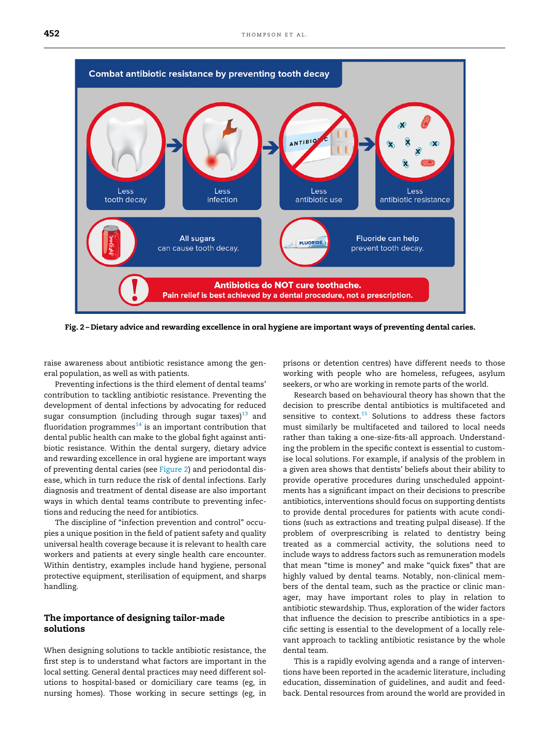<span id="page-2-0"></span>

Fig. 2 – Dietary advice and rewarding excellence in oral hygiene are important ways of preventing dental caries.

raise awareness about antibiotic resistance among the general population, as well as with patients.

Preventing infections is the third element of dental teams' contribution to tackling antibiotic resistance. Preventing the development of dental infections by advocating for reduced sugar consumption (including through sugar taxes)<sup>[13](#page-3-12)</sup> and fluoridation programmes $14$  is an important contribution that dental public health can make to the global fight against antibiotic resistance. Within the dental surgery, dietary advice and rewarding excellence in oral hygiene are important ways of preventing dental caries (see [Figure 2](#page-2-0)) and periodontal disease, which in turn reduce the risk of dental infections. Early diagnosis and treatment of dental disease are also important ways in which dental teams contribute to preventing infections and reducing the need for antibiotics.

The discipline of "infection prevention and control" occupies a unique position in the field of patient safety and quality universal health coverage because it is relevant to health care workers and patients at every single health care encounter. Within dentistry, examples include hand hygiene, personal protective equipment, sterilisation of equipment, and sharps handling.

## The importance of designing tailor-made solutions

When designing solutions to tackle antibiotic resistance, the first step is to understand what factors are important in the local setting. General dental practices may need different solutions to hospital-based or domiciliary care teams (eg, in nursing homes). Those working in secure settings (eg, in prisons or detention centres) have different needs to those working with people who are homeless, refugees, asylum seekers, or who are working in remote parts of the world.

Research based on behavioural theory has shown that the decision to prescribe dental antibiotics is multifaceted and sensitive to context.<sup>[15](#page-3-14)</sup> Solutions to address these factors must similarly be multifaceted and tailored to local needs rather than taking a one-size-fits-all approach. Understanding the problem in the specific context is essential to customise local solutions. For example, if analysis of the problem in a given area shows that dentists' beliefs about their ability to provide operative procedures during unscheduled appointments has a significant impact on their decisions to prescribe antibiotics, interventions should focus on supporting dentists to provide dental procedures for patients with acute conditions (such as extractions and treating pulpal disease). If the problem of overprescribing is related to dentistry being treated as a commercial activity, the solutions need to include ways to address factors such as remuneration models that mean "time is money" and make "quick fixes" that are highly valued by dental teams. Notably, non-clinical members of the dental team, such as the practice or clinic manager, may have important roles to play in relation to antibiotic stewardship. Thus, exploration of the wider factors that influence the decision to prescribe antibiotics in a specific setting is essential to the development of a locally relevant approach to tackling antibiotic resistance by the whole dental team.

This is a rapidly evolving agenda and a range of interventions have been reported in the academic literature, including education, dissemination of guidelines, and audit and feedback. Dental resources from around the world are provided in